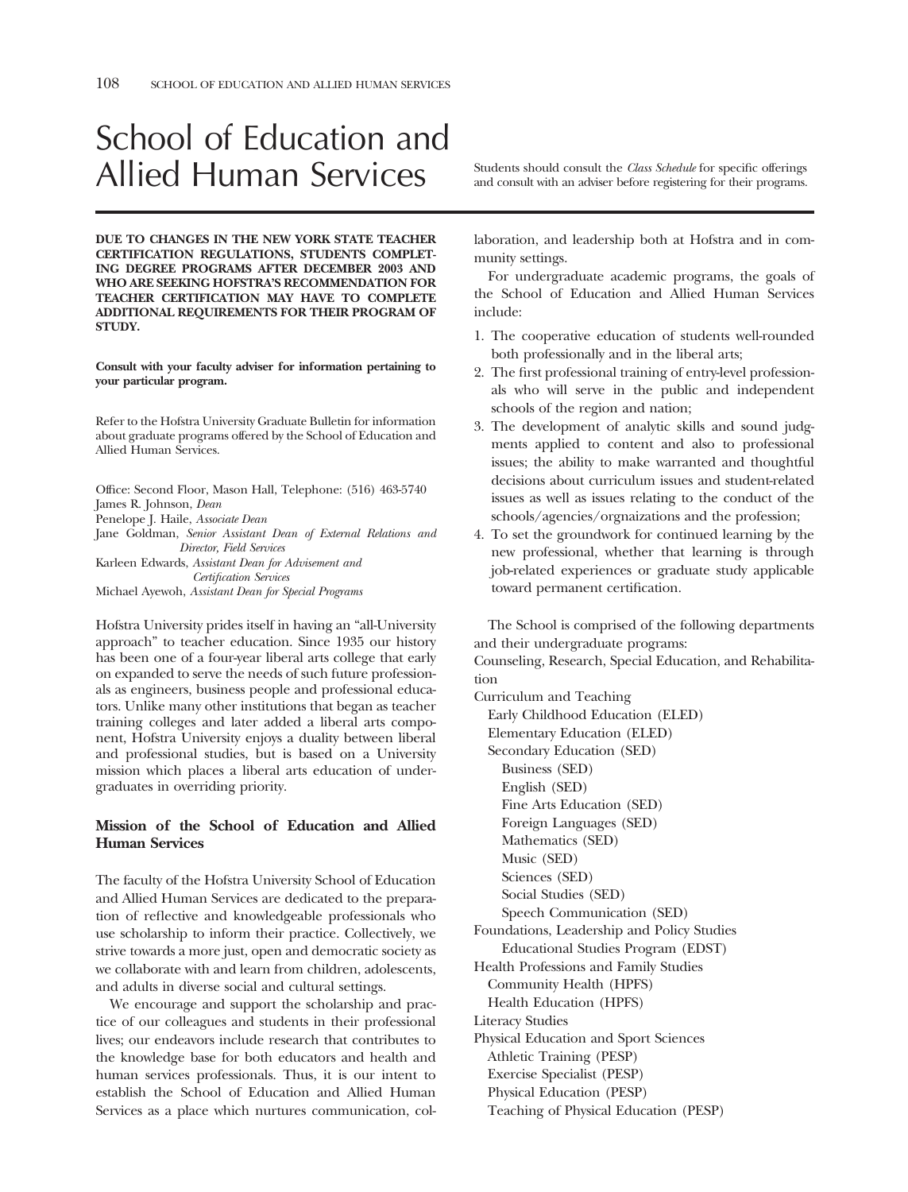# School of Education and Allied Human Services and consult with an adviser before registering for their programs.

**DUE TO CHANGES IN THE NEW YORK STATE TEACHER CERTIFICATION REGULATIONS, STUDENTS COMPLET-ING DEGREE PROGRAMS AFTER DECEMBER 2003 AND WHO ARE SEEKING HOFSTRA'S RECOMMENDATION FOR TEACHER CERTIFICATION MAY HAVE TO COMPLETE ADDITIONAL REQUIREMENTS FOR THEIR PROGRAM OF STUDY.** 

**Consult with your faculty adviser for information pertaining to your particular program.** 

Refer to the Hofstra University Graduate Bulletin for information about graduate programs offered by the School of Education and Allied Human Services.

Office: Second Floor, Mason Hall, Telephone: (516) 463-5740 James R. Johnson, *Dean*  Penelope J. Haile, *Associate Dean*  Jane Goldman, *Senior Assistant Dean of External Relations and Director, Field Services*  Karleen Edwards, *Assistant Dean for Advisement and Certification Services*  Michael Ayewoh, *Assistant Dean for Special Programs* 

Hofstra University prides itself in having an "all-University approach" to teacher education. Since 1935 our history has been one of a four-year liberal arts college that early on expanded to serve the needs of such future professionals as engineers, business people and professional educators. Unlike many other institutions that began as teacher training colleges and later added a liberal arts component, Hofstra University enjoys a duality between liberal and professional studies, but is based on a University mission which places a liberal arts education of undergraduates in overriding priority.

# **Mission of the School of Education and Allied Human Services**

The faculty of the Hofstra University School of Education and Allied Human Services are dedicated to the preparation of refective and knowledgeable professionals who use scholarship to inform their practice. Collectively, we strive towards a more just, open and democratic society as we collaborate with and learn from children, adolescents, and adults in diverse social and cultural settings.

We encourage and support the scholarship and practice of our colleagues and students in their professional lives; our endeavors include research that contributes to the knowledge base for both educators and health and human services professionals. Thus, it is our intent to establish the School of Education and Allied Human Services as a place which nurtures communication, col-

laboration, and leadership both at Hofstra and in community settings.

For undergraduate academic programs, the goals of the School of Education and Allied Human Services include:

- 1. The cooperative education of students well-rounded both professionally and in the liberal arts;
- 2. The frst professional training of entry-level professionals who will serve in the public and independent schools of the region and nation;
- 3. The development of analytic skills and sound judgments applied to content and also to professional issues; the ability to make warranted and thoughtful decisions about curriculum issues and student-related issues as well as issues relating to the conduct of the schools/agencies/orgnaizations and the profession;
- 4. To set the groundwork for continued learning by the new professional, whether that learning is through job-related experiences or graduate study applicable toward permanent certifcation.

The School is comprised of the following departments and their undergraduate programs:

Counseling, Research, Special Education, and Rehabilitation

Curriculum and Teaching Early Childhood Education (ELED) Elementary Education (ELED) Secondary Education (SED) Business (SED) English (SED) Fine Arts Education (SED) Foreign Languages (SED) Mathematics (SED) Music (SED) Sciences (SED) Social Studies (SED) Speech Communication (SED) Foundations, Leadership and Policy Studies Educational Studies Program (EDST) Health Professions and Family Studies Community Health (HPFS) Health Education (HPFS) Literacy Studies Physical Education and Sport Sciences Athletic Training (PESP) Exercise Specialist (PESP) Physical Education (PESP) Teaching of Physical Education (PESP)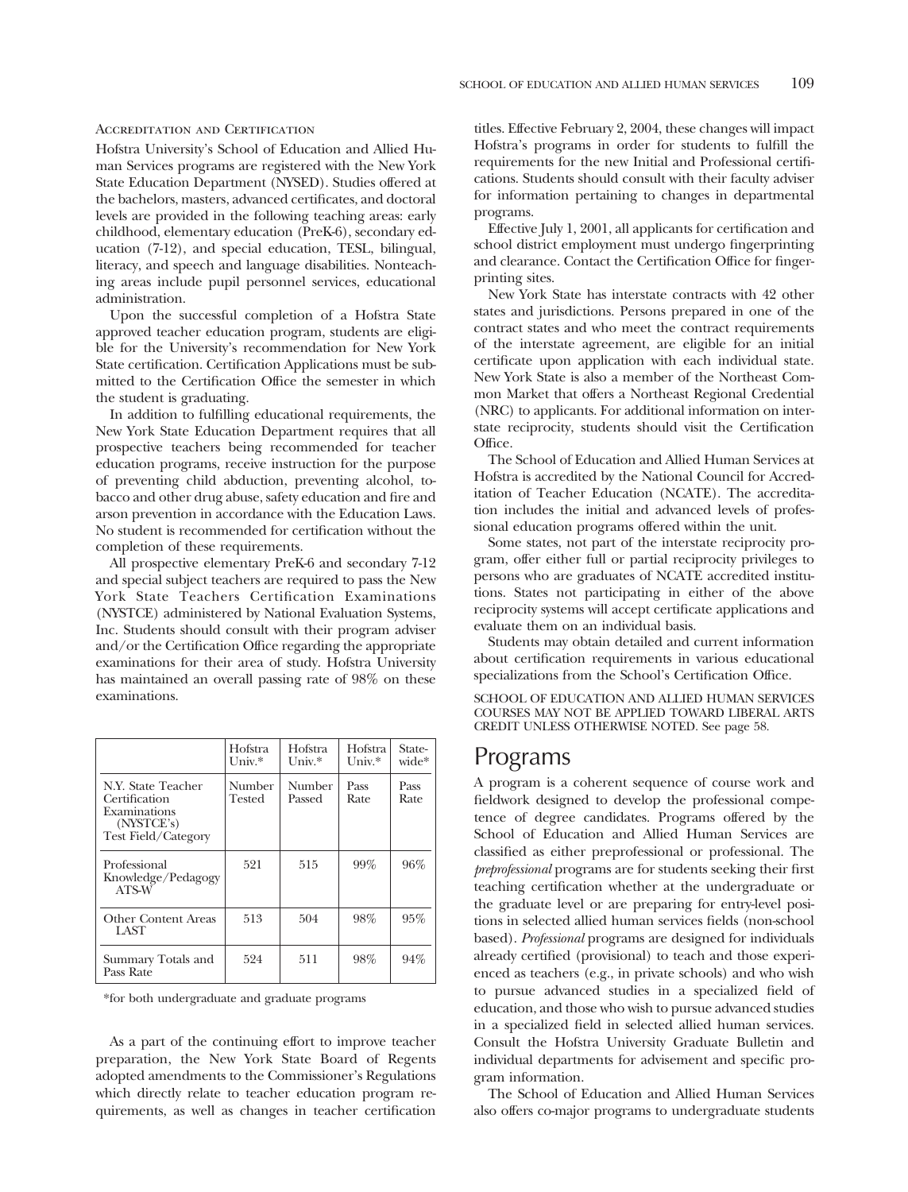#### Accreditation and Certification

Hofstra University's School of Education and Allied Human Services programs are registered with the New York State Education Department (NYSED). Studies offered at the bachelors, masters, advanced certifcates, and doctoral levels are provided in the following teaching areas: early childhood, elementary education (PreK-6), secondary education (7-12), and special education, TESL, bilingual, literacy, and speech and language disabilities. Nonteaching areas include pupil personnel services, educational administration.

Upon the successful completion of a Hofstra State approved teacher education program, students are eligible for the University's recommendation for New York State certifcation. Certifcation Applications must be submitted to the Certification Office the semester in which the student is graduating.

In addition to fulflling educational requirements, the New York State Education Department requires that all prospective teachers being recommended for teacher education programs, receive instruction for the purpose of preventing child abduction, preventing alcohol, tobacco and other drug abuse, safety education and fre and arson prevention in accordance with the Education Laws. No student is recommended for certifcation without the completion of these requirements.

All prospective elementary PreK-6 and secondary 7-12 and special subject teachers are required to pass the New York State Teachers Certifcation Examinations (NYSTCE) administered by National Evaluation Systems, Inc. Students should consult with their program adviser and/or the Certification Office regarding the appropriate examinations for their area of study. Hofstra University has maintained an overall passing rate of 98% on these examinations.

|                                                                                                 | Hofstra<br>$Univ.*$ | Hofstra<br>$Univ.*$ | Hofstra<br>$Univ.*$ | State-<br>wide* |
|-------------------------------------------------------------------------------------------------|---------------------|---------------------|---------------------|-----------------|
| N.Y. State Teacher<br>Certification<br>Examinations<br>(NYSTCE's)<br><b>Test Field/Category</b> | Number<br>Tested    | Number<br>Passed    | Pass<br>Rate        | Pass<br>Rate    |
| Professional<br>Knowledge/Pedagogy<br>ATS-W                                                     | 521                 | 515                 | 99%                 | 96%             |
| Other Content Areas<br>LAST                                                                     | 513                 | 504                 | 98%                 | 95%             |
| Summary Totals and<br>Pass Rate                                                                 | 524                 | 511                 | 98%                 | 94%             |

\*for both undergraduate and graduate programs

As a part of the continuing effort to improve teacher preparation, the New York State Board of Regents adopted amendments to the Commissioner's Regulations which directly relate to teacher education program requirements, as well as changes in teacher certifcation

titles. Effective February 2, 2004, these changes will impact Hofstra's programs in order for students to fulfll the requirements for the new Initial and Professional certifcations. Students should consult with their faculty adviser for information pertaining to changes in departmental programs.

Effective July 1, 2001, all applicants for certifcation and school district employment must undergo fngerprinting and clearance. Contact the Certification Office for fingerprinting sites.

New York State has interstate contracts with 42 other states and jurisdictions. Persons prepared in one of the contract states and who meet the contract requirements of the interstate agreement, are eligible for an initial certifcate upon application with each individual state. New York State is also a member of the Northeast Common Market that offers a Northeast Regional Credential (NRC) to applicants. For additional information on interstate reciprocity, students should visit the Certifcation Office.

The School of Education and Allied Human Services at Hofstra is accredited by the National Council for Accreditation of Teacher Education (NCATE). The accreditation includes the initial and advanced levels of professional education programs offered within the unit.

Some states, not part of the interstate reciprocity program, offer either full or partial reciprocity privileges to persons who are graduates of NCATE accredited institutions. States not participating in either of the above reciprocity systems will accept certifcate applications and evaluate them on an individual basis.

Students may obtain detailed and current information about certifcation requirements in various educational specializations from the School's Certification Office.

SCHOOL OF EDUCATION AND ALLIED HUMAN SERVICES COURSES MAY NOT BE APPLIED TOWARD LIBERAL ARTS CREDIT UNLESS OTHERWISE NOTED. See page 58.

# Programs

A program is a coherent sequence of course work and feldwork designed to develop the professional competence of degree candidates. Programs offered by the School of Education and Allied Human Services are classifed as either preprofessional or professional. The *preprofessional* programs are for students seeking their frst teaching certifcation whether at the undergraduate or the graduate level or are preparing for entry-level positions in selected allied human services felds (non-school based). *Professional* programs are designed for individuals already certifed (provisional) to teach and those experienced as teachers (e.g., in private schools) and who wish to pursue advanced studies in a specialized feld of education, and those who wish to pursue advanced studies in a specialized feld in selected allied human services. Consult the Hofstra University Graduate Bulletin and individual departments for advisement and specifc program information.

The School of Education and Allied Human Services also offers co-major programs to undergraduate students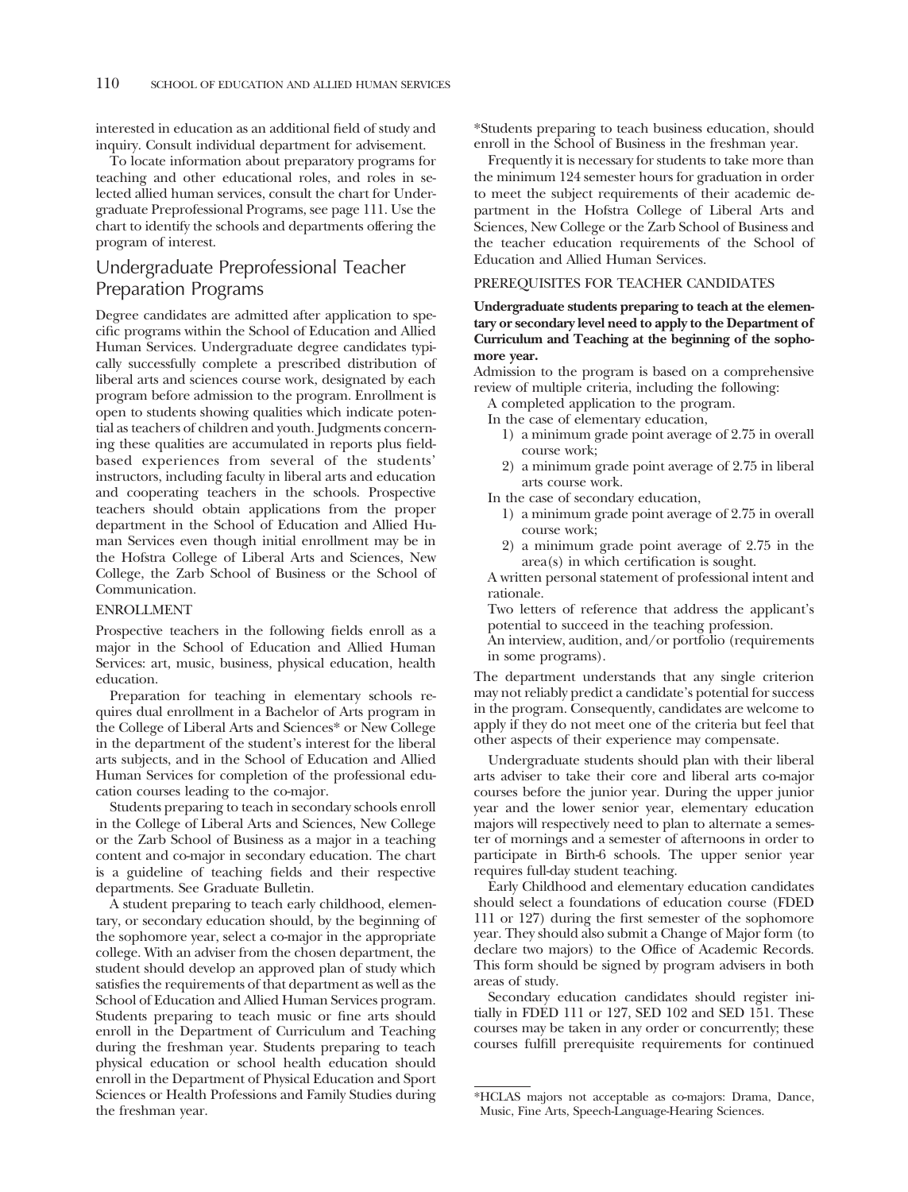interested in education as an additional feld of study and inquiry. Consult individual department for advisement.

To locate information about preparatory programs for teaching and other educational roles, and roles in selected allied human services, consult the chart for Undergraduate Preprofessional Programs, see page 111. Use the chart to identify the schools and departments offering the program of interest.

# Undergraduate Preprofessional Teacher Preparation Programs

Degree candidates are admitted after application to specifc programs within the School of Education and Allied Human Services. Undergraduate degree candidates typically successfully complete a prescribed distribution of liberal arts and sciences course work, designated by each program before admission to the program. Enrollment is open to students showing qualities which indicate potential as teachers of children and youth. Judgments concerning these qualities are accumulated in reports plus feldbased experiences from several of the students' instructors, including faculty in liberal arts and education and cooperating teachers in the schools. Prospective teachers should obtain applications from the proper department in the School of Education and Allied Human Services even though initial enrollment may be in the Hofstra College of Liberal Arts and Sciences, New College, the Zarb School of Business or the School of Communication.

## ENROLLMENT

Prospective teachers in the following felds enroll as a major in the School of Education and Allied Human Services: art, music, business, physical education, health education.

Preparation for teaching in elementary schools requires dual enrollment in a Bachelor of Arts program in the College of Liberal Arts and Sciences\* or New College in the department of the student's interest for the liberal arts subjects, and in the School of Education and Allied Human Services for completion of the professional education courses leading to the co-major.

Students preparing to teach in secondary schools enroll in the College of Liberal Arts and Sciences, New College or the Zarb School of Business as a major in a teaching content and co-major in secondary education. The chart is a guideline of teaching felds and their respective departments. See Graduate Bulletin.

A student preparing to teach early childhood, elementary, or secondary education should, by the beginning of the sophomore year, select a co-major in the appropriate college. With an adviser from the chosen department, the student should develop an approved plan of study which satisfes the requirements of that department as well as the School of Education and Allied Human Services program. Students preparing to teach music or fne arts should enroll in the Department of Curriculum and Teaching during the freshman year. Students preparing to teach physical education or school health education should enroll in the Department of Physical Education and Sport Sciences or Health Professions and Family Studies during the freshman year.

\*Students preparing to teach business education, should enroll in the School of Business in the freshman year.

Frequently it is necessary for students to take more than the minimum 124 semester hours for graduation in order to meet the subject requirements of their academic department in the Hofstra College of Liberal Arts and Sciences, New College or the Zarb School of Business and the teacher education requirements of the School of Education and Allied Human Services.

# PREREQUISITES FOR TEACHER CANDIDATES

# **Undergraduate students preparing to teach at the elementary or secondary level need to apply to the Department of Curriculum and Teaching at the beginning of the sophomore year.**

Admission to the program is based on a comprehensive review of multiple criteria, including the following:

A completed application to the program.

In the case of elementary education,

- 1) a minimum grade point average of 2.75 in overall course work;
- 2) a minimum grade point average of 2.75 in liberal arts course work.

In the case of secondary education,

- 1) a minimum grade point average of 2.75 in overall course work;
- 2) a minimum grade point average of 2.75 in the area(s) in which certifcation is sought.

A written personal statement of professional intent and rationale.

Two letters of reference that address the applicant's potential to succeed in the teaching profession.

An interview, audition, and/or portfolio (requirements in some programs).

The department understands that any single criterion may not reliably predict a candidate's potential for success in the program. Consequently, candidates are welcome to apply if they do not meet one of the criteria but feel that other aspects of their experience may compensate.

Undergraduate students should plan with their liberal arts adviser to take their core and liberal arts co-major courses before the junior year. During the upper junior year and the lower senior year, elementary education majors will respectively need to plan to alternate a semester of mornings and a semester of afternoons in order to participate in Birth-6 schools. The upper senior year requires full-day student teaching.

Early Childhood and elementary education candidates should select a foundations of education course (FDED 111 or 127) during the frst semester of the sophomore year. They should also submit a Change of Major form (to declare two majors) to the Office of Academic Records. This form should be signed by program advisers in both areas of study.

Secondary education candidates should register initially in FDED 111 or 127, SED 102 and SED 151. These courses may be taken in any order or concurrently; these courses fulfll prerequisite requirements for continued

<sup>\*</sup>HCLAS majors not acceptable as co-majors: Drama, Dance, Music, Fine Arts, Speech-Language-Hearing Sciences.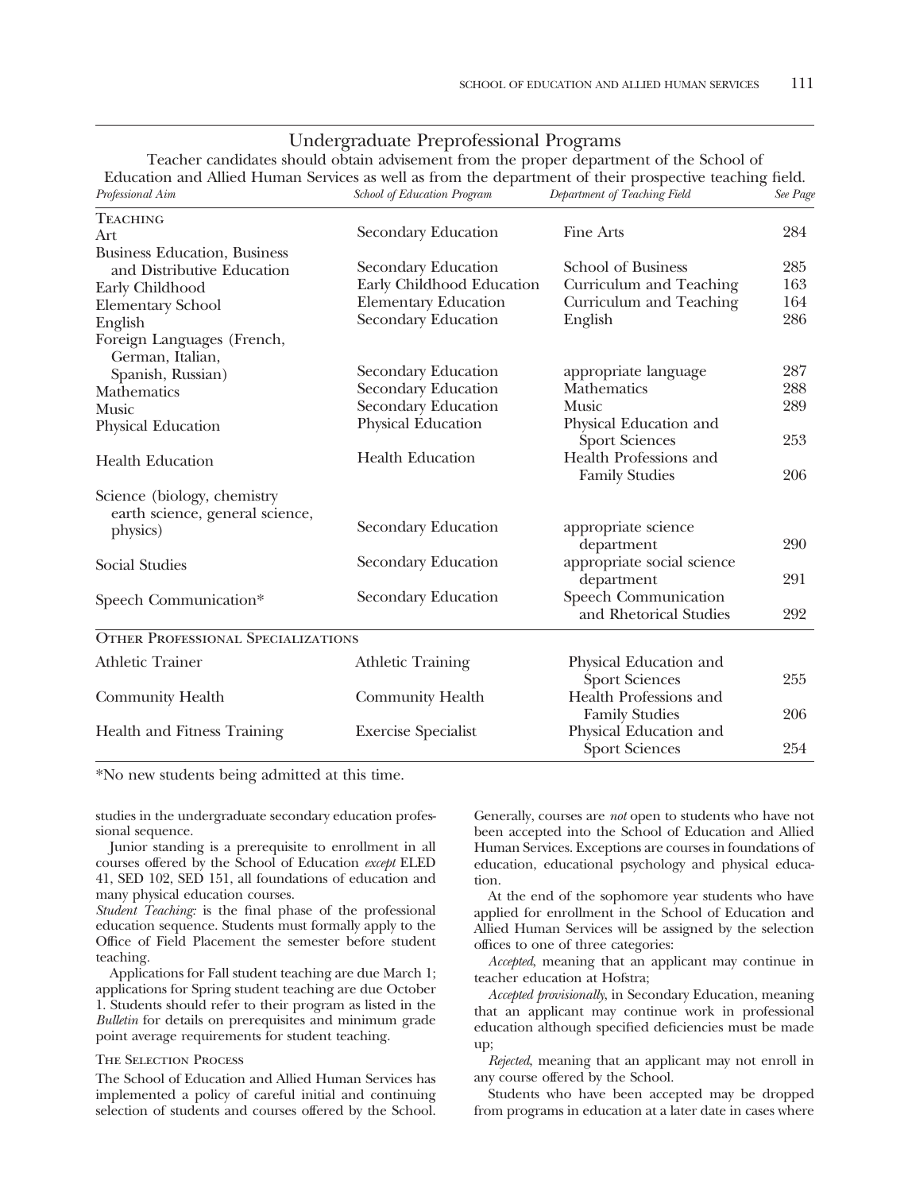|  | Undergraduate Preprofessional Programs |  |
|--|----------------------------------------|--|
|--|----------------------------------------|--|

Teacher candidates should obtain advisement from the proper department of the School of Education and Allied Human Services as well as from the department of their prospective teaching feld.

| Professional Aim                          | <b>School of Education Program</b> | Department of Teaching Field | See Page |
|-------------------------------------------|------------------------------------|------------------------------|----------|
| <b>TEACHING</b>                           |                                    |                              |          |
| Art                                       | Secondary Education                | Fine Arts                    | 284      |
| <b>Business Education</b> , Business      |                                    |                              |          |
| and Distributive Education                | Secondary Education                | <b>School of Business</b>    | 285      |
| Early Childhood                           | Early Childhood Education          | Curriculum and Teaching      | 163      |
| <b>Elementary School</b>                  | <b>Elementary Education</b>        | Curriculum and Teaching      | 164      |
| English                                   | Secondary Education                | English                      | 286      |
| Foreign Languages (French,                |                                    |                              |          |
| German, Italian,                          |                                    |                              |          |
| Spanish, Russian)                         | Secondary Education                | appropriate language         | 287      |
| Mathematics                               | Secondary Education                | <b>Mathematics</b>           | 288      |
| <b>Music</b>                              | <b>Secondary Education</b>         | <b>Music</b>                 | 289      |
| Physical Education                        | Physical Education                 | Physical Education and       |          |
|                                           |                                    | <b>Sport Sciences</b>        | 253      |
| <b>Health Education</b>                   | <b>Health Education</b>            | Health Professions and       |          |
|                                           |                                    | <b>Family Studies</b>        | 206      |
| Science (biology, chemistry               |                                    |                              |          |
| earth science, general science,           |                                    |                              |          |
| physics)                                  | Secondary Education                | appropriate science          |          |
|                                           |                                    | department                   | 290      |
| Social Studies                            | Secondary Education                | appropriate social science   |          |
|                                           |                                    | department                   | 291      |
| Speech Communication*                     | Secondary Education                | Speech Communication         |          |
|                                           |                                    | and Rhetorical Studies       | 292      |
| <b>OTHER PROFESSIONAL SPECIALIZATIONS</b> |                                    |                              |          |
| <b>Athletic Trainer</b>                   | <b>Athletic Training</b>           | Physical Education and       |          |
|                                           |                                    | Sport Sciences               | 255      |
| Community Health                          | Community Health                   | Health Professions and       |          |
|                                           |                                    | <b>Family Studies</b>        | 206      |
| Health and Fitness Training               | <b>Exercise Specialist</b>         | Physical Education and       |          |
|                                           |                                    | <b>Sport Sciences</b>        | 254      |
|                                           |                                    |                              |          |

\*No new students being admitted at this time.

studies in the undergraduate secondary education professional sequence.

Junior standing is a prerequisite to enrollment in all courses offered by the School of Education *except* ELED 41, SED 102, SED 151, all foundations of education and many physical education courses.

*Student Teaching:* is the fnal phase of the professional education sequence. Students must formally apply to the Office of Field Placement the semester before student teaching.

Applications for Fall student teaching are due March 1; applications for Spring student teaching are due October 1. Students should refer to their program as listed in the *Bulletin* for details on prerequisites and minimum grade point average requirements for student teaching.

#### The Selection Process

The School of Education and Allied Human Services has implemented a policy of careful initial and continuing selection of students and courses offered by the School.

Generally, courses are *not* open to students who have not been accepted into the School of Education and Allied Human Services. Exceptions are courses in foundations of education, educational psychology and physical education.

At the end of the sophomore year students who have applied for enrollment in the School of Education and Allied Human Services will be assigned by the selection offces to one of three categories:

*Accepted*, meaning that an applicant may continue in teacher education at Hofstra;

*Accepted provisionally*, in Secondary Education, meaning that an applicant may continue work in professional education although specifed defciencies must be made up;

*Rejected*, meaning that an applicant may not enroll in any course offered by the School.

Students who have been accepted may be dropped from programs in education at a later date in cases where